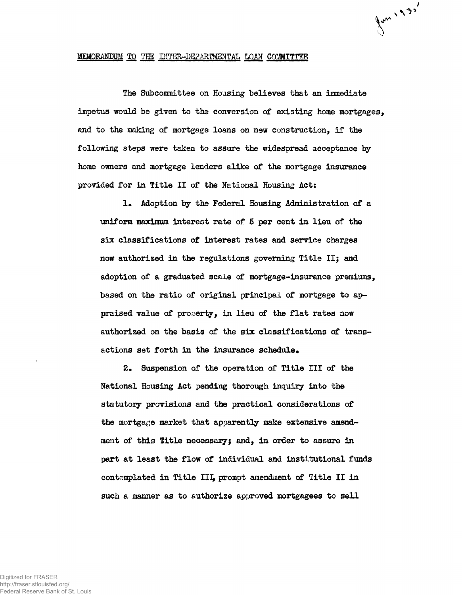## MEMORANDUM TO THE INTER-DEPARTMENTAL LOAN COMMITTEE

The Subcommittee on Housing believes that an immediate impetus would be given to the conversion of existing home mortgages, and to the making of mortgage loans on new construction, if the following steps were taken to assure the widespread acceptance by home owners and mortgage lenders alike of the mortgage insurance provided for in Title II of the National Housing Act:

Juni193'

1» Adoption by the Federal Housing Administration of a uniform maximum interest rate of 5 per cent in lieu of the six classifications of interest rates and service charges now authorized in the regulations governing Title II; and adoption of a graduated scale of mortgage-insurance premiums, based on the ratio of original principal of mortgage to appraised value of property, in lieu of the flat rates now authorized on the basis of the six classifications of transactions set forth in the insurance schedule.

£• Suspension of the operation of Title III of the National Housing Act pending thorough inquiry into the statutory provisions and the practical considerations of the mortgage market that apparently make extensive amendment of this Title necessary; and, in order to assure in part at least the flow of individual and institutional funds contemplated in Title III, prompt amendment of Title II in such a manner as to authorize approved mortgagees to sell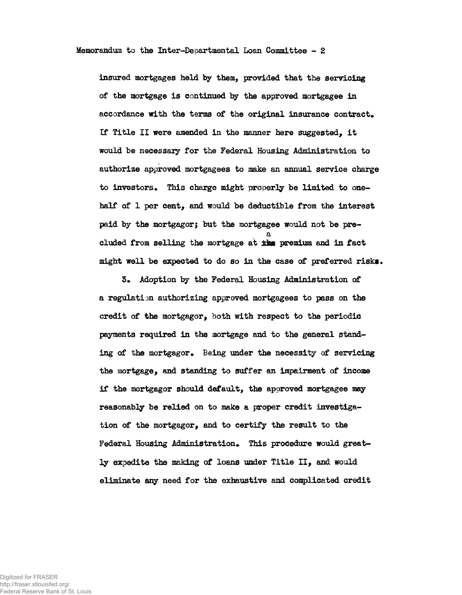Memorandum to the Inter-Departmental Loan Committee - 2

insured mortgages held by them, provided that the servicing of the mortgage is continued by the approved mortgagee in accordance with the terms of the original insurance contract. If Title II were amended in the manner here suggested, it would be necessary for the Federal Housing Administration to authorize approved mortgagees to make an annual service charge to investors. This charge might properly be limited to onehalf of 1 per cent, and would be deductible from the interest paid by the mortgagor; but the mortgagee would not be prea eluded from selling the mortgage at &feg premium and in fact might well be expected to do so in the case of preferred risks.

3. Adoption by the Federal Housing Administration of a regulation authorizing approved mortgagees to pass on the credit of the mortgagor, both with respect to the periodic payments required in the mortgage and to the general standing of the mortgagor. Being under the necessity of servicing the mortgage, and standing to suffer an impairment of income if the mortgagor should default, the approved mortgagee may reasonably be relied on to make a proper credit investigation of the mortgagor, and to certify the result to the Federal Housing Administration. This procedure would greatly expedite the making of loans under Title II, and would eliminate any need for the exhaustive and complicated credit